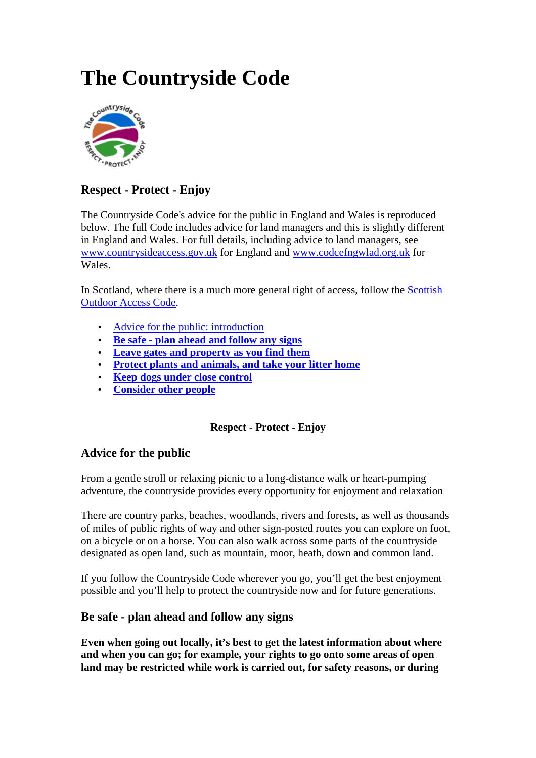# **The Countryside Code**



## **Respect - Protect - Enjoy**

The Countryside Code's advice for the public in England and Wales is reproduced below. The full Code includes advice for land managers and this is slightly different in England and Wales. For full details, including advice to land managers, see www.countrysideaccess.gov.uk for England and www.codcefngwlad.org.uk for Wales.

In Scotland, where there is a much more general right of access, follow the Scottish Outdoor Access Code.

- Advice for the public: introduction
- **Be safe plan ahead and follow any signs**
- **Leave gates and property as you find them**
- **Protect plants and animals, and take your litter home**
- **Keep dogs under close control**
- **Consider other people**

## **Respect - Protect - Enjoy**

## **Advice for the public**

From a gentle stroll or relaxing picnic to a long-distance walk or heart-pumping adventure, the countryside provides every opportunity for enjoyment and relaxation

There are country parks, beaches, woodlands, rivers and forests, as well as thousands of miles of public rights of way and other sign-posted routes you can explore on foot, on a bicycle or on a horse. You can also walk across some parts of the countryside designated as open land, such as mountain, moor, heath, down and common land.

If you follow the Countryside Code wherever you go, you'll get the best enjoyment possible and you'll help to protect the countryside now and for future generations.

## **Be safe - plan ahead and follow any signs**

**Even when going out locally, it's best to get the latest information about where and when you can go; for example, your rights to go onto some areas of open land may be restricted while work is carried out, for safety reasons, or during**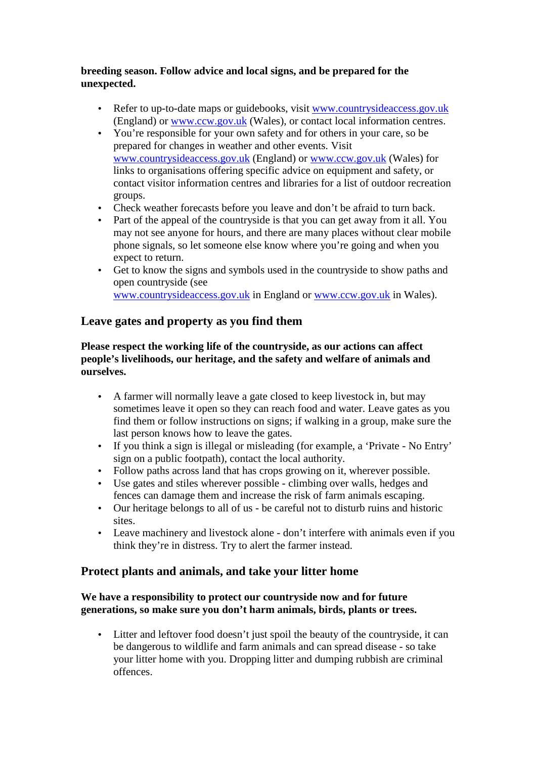#### **breeding season. Follow advice and local signs, and be prepared for the unexpected.**

- Refer to up-to-date maps or guidebooks, visit www.countrysideaccess.gov.uk (England) or www.ccw.gov.uk (Wales), or contact local information centres.
- You're responsible for your own safety and for others in your care, so be prepared for changes in weather and other events. Visit www.countrysideaccess.gov.uk (England) or www.ccw.gov.uk (Wales) for links to organisations offering specific advice on equipment and safety, or contact visitor information centres and libraries for a list of outdoor recreation groups.
- Check weather forecasts before you leave and don't be afraid to turn back.
- Part of the appeal of the countryside is that you can get away from it all. You may not see anyone for hours, and there are many places without clear mobile phone signals, so let someone else know where you're going and when you expect to return.
- Get to know the signs and symbols used in the countryside to show paths and open countryside (see www.countrysideaccess.gov.uk in England or www.ccw.gov.uk in Wales).

## **Leave gates and property as you find them**

#### **Please respect the working life of the countryside, as our actions can affect people's livelihoods, our heritage, and the safety and welfare of animals and ourselves.**

- A farmer will normally leave a gate closed to keep livestock in, but may sometimes leave it open so they can reach food and water. Leave gates as you find them or follow instructions on signs; if walking in a group, make sure the last person knows how to leave the gates.
- If you think a sign is illegal or misleading (for example, a 'Private No Entry' sign on a public footpath), contact the local authority.
- Follow paths across land that has crops growing on it, wherever possible.
- Use gates and stiles wherever possible climbing over walls, hedges and fences can damage them and increase the risk of farm animals escaping.
- Our heritage belongs to all of us be careful not to disturb ruins and historic sites.
- Leave machinery and livestock alone don't interfere with animals even if you think they're in distress. Try to alert the farmer instead.

## **Protect plants and animals, and take your litter home**

#### **We have a responsibility to protect our countryside now and for future generations, so make sure you don't harm animals, birds, plants or trees.**

• Litter and leftover food doesn't just spoil the beauty of the countryside, it can be dangerous to wildlife and farm animals and can spread disease - so take your litter home with you. Dropping litter and dumping rubbish are criminal offences.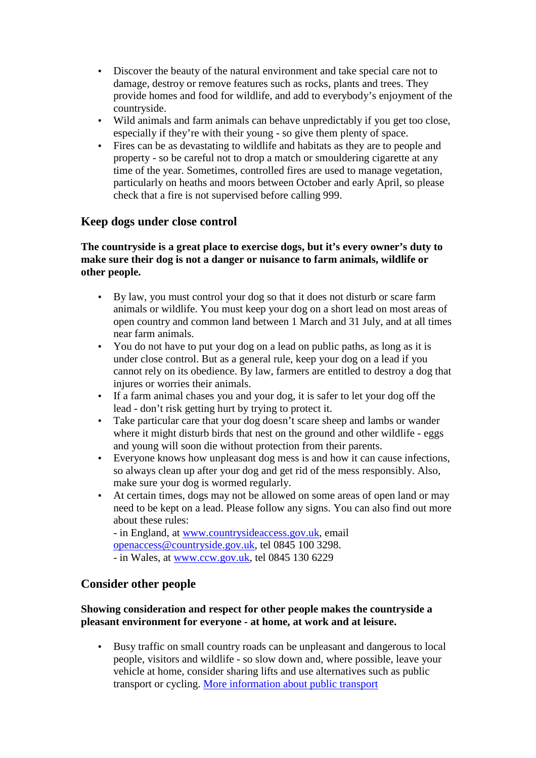- Discover the beauty of the natural environment and take special care not to damage, destroy or remove features such as rocks, plants and trees. They provide homes and food for wildlife, and add to everybody's enjoyment of the countryside.
- Wild animals and farm animals can behave unpredictably if you get too close, especially if they're with their young - so give them plenty of space.
- Fires can be as devastating to wildlife and habitats as they are to people and property - so be careful not to drop a match or smouldering cigarette at any time of the year. Sometimes, controlled fires are used to manage vegetation, particularly on heaths and moors between October and early April, so please check that a fire is not supervised before calling 999.

### **Keep dogs under close control**

**The countryside is a great place to exercise dogs, but it's every owner's duty to make sure their dog is not a danger or nuisance to farm animals, wildlife or other people.**

- By law, you must control your dog so that it does not disturb or scare farm animals or wildlife. You must keep your dog on a short lead on most areas of open country and common land between 1 March and 31 July, and at all times near farm animals.
- You do not have to put your dog on a lead on public paths, as long as it is under close control. But as a general rule, keep your dog on a lead if you cannot rely on its obedience. By law, farmers are entitled to destroy a dog that injures or worries their animals.
- If a farm animal chases you and your dog, it is safer to let your dog off the lead - don't risk getting hurt by trying to protect it.
- Take particular care that your dog doesn't scare sheep and lambs or wander where it might disturb birds that nest on the ground and other wildlife - eggs and young will soon die without protection from their parents.
- Everyone knows how unpleasant dog mess is and how it can cause infections, so always clean up after your dog and get rid of the mess responsibly. Also, make sure your dog is wormed regularly.
- At certain times, dogs may not be allowed on some areas of open land or may need to be kept on a lead. Please follow any signs. You can also find out more about these rules:

- in England, at www.countrysideaccess.gov.uk, email openaccess@countryside.gov.uk, tel 0845 100 3298.  $\frac{1}{2}$  in Wales, at www.ccw.gov.uk, tel 0845 130 6229

## **Consider other people**

#### **Showing consideration and respect for other people makes the countryside a pleasant environment for everyone - at home, at work and at leisure.**

• Busy traffic on small country roads can be unpleasant and dangerous to local people, visitors and wildlife - so slow down and, where possible, leave your vehicle at home, consider sharing lifts and use alternatives such as public transport or cycling. More information about public transport